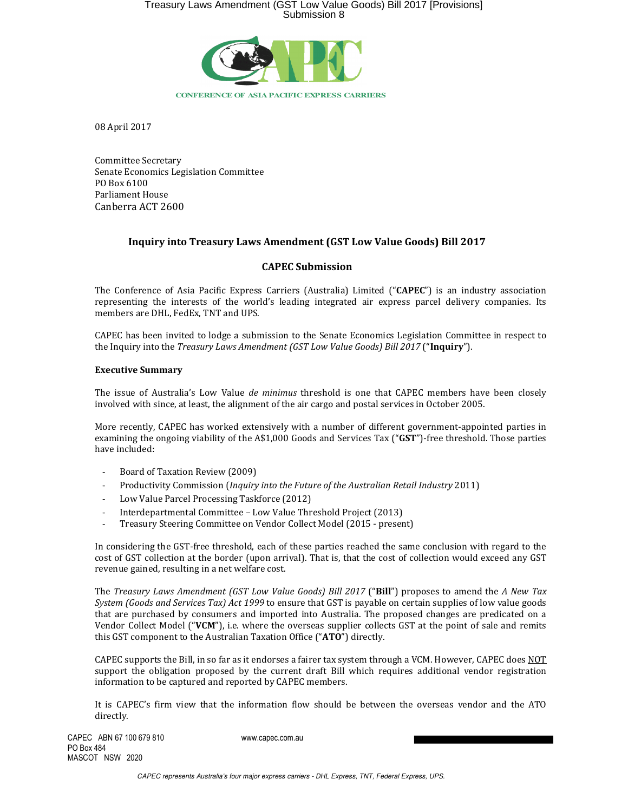

08 April 2017

Committee Secretary Senate Economics Legislation Committee PO Box 6100 Parliament House Canberra ACT 2600

## Inquiry into Treasury Laws Amendment (GST Low Value Goods) Bill 2017

### CAPEC Submission

The Conference of Asia Pacific Express Carriers (Australia) Limited ("CAPEC") is an industry association representing the interests of the world's leading integrated air express parcel delivery companies. Its members are DHL, FedEx, TNT and UPS.

CAPEC has been invited to lodge a submission to the Senate Economics Legislation Committee in respect to the Inquiry into the Treasury Laws Amendment (GST Low Value Goods) Bill 2017 ("Inquiry").

#### Executive Summary

The issue of Australia's Low Value de minimus threshold is one that CAPEC members have been closely involved with since, at least, the alignment of the air cargo and postal services in October 2005.

More recently, CAPEC has worked extensively with a number of different government-appointed parties in examining the ongoing viability of the A\$1,000 Goods and Services Tax ("GST")-free threshold. Those parties have included:

- Board of Taxation Review (2009)
- Productivity Commission (Inquiry into the Future of the Australian Retail Industry 2011)
- Low Value Parcel Processing Taskforce (2012)
- Interdepartmental Committee Low Value Threshold Project (2013)
- Treasury Steering Committee on Vendor Collect Model (2015 present)

In considering the GST-free threshold, each of these parties reached the same conclusion with regard to the cost of GST collection at the border (upon arrival). That is, that the cost of collection would exceed any GST revenue gained, resulting in a net welfare cost.

The Treasury Laws Amendment (GST Low Value Goods) Bill 2017 ("Bill") proposes to amend the A New Tax System (Goods and Services Tax) Act 1999 to ensure that GST is payable on certain supplies of low value goods that are purchased by consumers and imported into Australia. The proposed changes are predicated on a Vendor Collect Model ("VCM"), i.e. where the overseas supplier collects GST at the point of sale and remits this GST component to the Australian Taxation Office ("ATO") directly.

CAPEC supports the Bill, in so far as it endorses a fairer tax system through a VCM. However, CAPEC does NOT support the obligation proposed by the current draft Bill which requires additional vendor registration information to be captured and reported by CAPEC members.

It is CAPEC's firm view that the information flow should be between the overseas vendor and the ATO directly.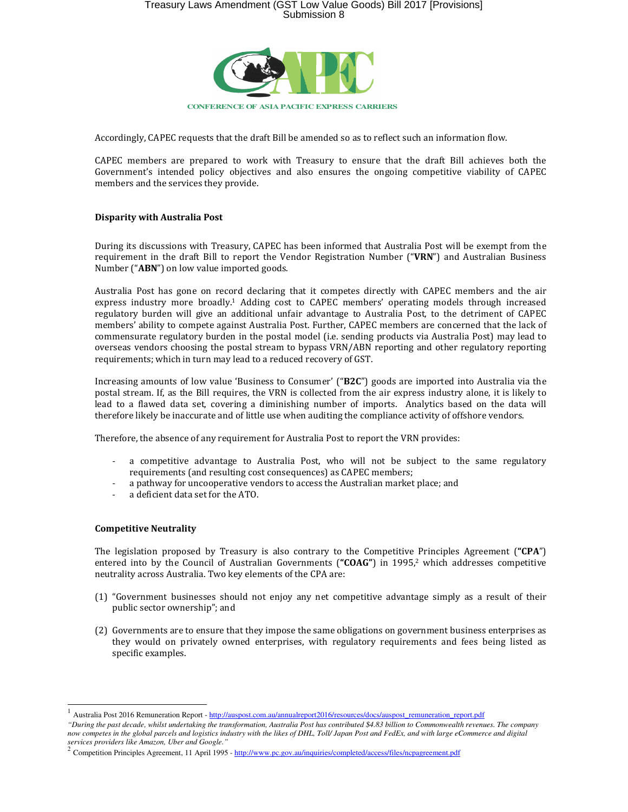

Accordingly, CAPEC requests that the draft Bill be amended so as to reflect such an information flow.

CAPEC members are prepared to work with Treasury to ensure that the draft Bill achieves both the Government's intended policy objectives and also ensures the ongoing competitive viability of CAPEC members and the services they provide.

## Disparity with Australia Post

During its discussions with Treasury, CAPEC has been informed that Australia Post will be exempt from the requirement in the draft Bill to report the Vendor Registration Number ("VRN") and Australian Business Number ("ABN") on low value imported goods.

Australia Post has gone on record declaring that it competes directly with CAPEC members and the air express industry more broadly.1 Adding cost to CAPEC members' operating models through increased regulatory burden will give an additional unfair advantage to Australia Post, to the detriment of CAPEC members' ability to compete against Australia Post. Further, CAPEC members are concerned that the lack of commensurate regulatory burden in the postal model (i.e. sending products via Australia Post) may lead to overseas vendors choosing the postal stream to bypass VRN/ABN reporting and other regulatory reporting requirements; which in turn may lead to a reduced recovery of GST.

Increasing amounts of low value 'Business to Consumer' ("B2C") goods are imported into Australia via the postal stream. If, as the Bill requires, the VRN is collected from the air express industry alone, it is likely to lead to a flawed data set, covering a diminishing number of imports. Analytics based on the data will therefore likely be inaccurate and of little use when auditing the compliance activity of offshore vendors.

Therefore, the absence of any requirement for Australia Post to report the VRN provides:

- a competitive advantage to Australia Post, who will not be subject to the same regulatory requirements (and resulting cost consequences) as CAPEC members;
- a pathway for uncooperative vendors to access the Australian market place; and
- a deficient data set for the ATO.

#### Competitive Neutrality

 $\overline{a}$ 

The legislation proposed by Treasury is also contrary to the Competitive Principles Agreement ("CPA") entered into by the Council of Australian Governments (" $COAG$ ") in 1995,<sup>2</sup> which addresses competitive neutrality across Australia. Two key elements of the CPA are:

- (1) "Government businesses should not enjoy any net competitive advantage simply as a result of their public sector ownership"; and
- (2) Governments are to ensure that they impose the same obligations on government business enterprises as they would on privately owned enterprises, with regulatory requirements and fees being listed as specific examples.

<sup>&</sup>lt;sup>1</sup> Australia Post 2016 Remuneration Report - http://auspost.com.au/annualreport2016/resources/docs/auspost\_remuneration\_report.pdf

*<sup>&</sup>quot;During the past decade, whilst undertaking the transformation, Australia Post has contributed \$4.83 billion to Commonwealth revenues. The company now competes in the global parcels and logistics industry with the likes of DHL, Toll/ Japan Post and FedEx, and with large eCommerce and digital*  s*ervices providers like Amazon, Uber and Google."*<br><sup>2</sup> Competition Principles Agreement, 11 April 1995 - <u>http://www.pc.gov.au/inquiries/completed/access/files/ncpagreement.pdf</u>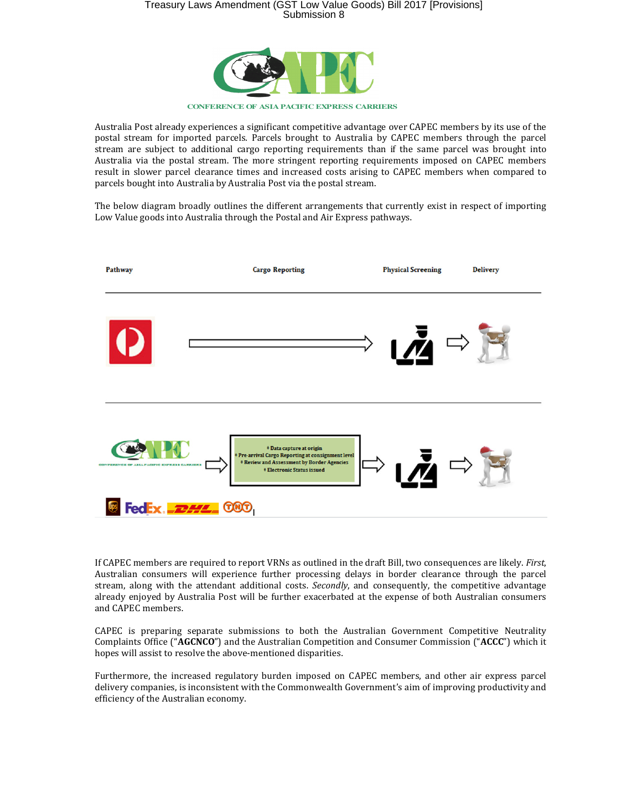

**CONFERENCE OF ASIA PACIFIC EXPRESS CARRIERS**

Australia Post already experiences a significant competitive advantage over CAPEC members by its use of the postal stream for imported parcels. Parcels brought to Australia by CAPEC members through the parcel stream are subject to additional cargo reporting requirements than if the same parcel was brought into Australia via the postal stream. The more stringent reporting requirements imposed on CAPEC members result in slower parcel clearance times and increased costs arising to CAPEC members when compared to parcels bought into Australia by Australia Post via the postal stream.

The below diagram broadly outlines the different arrangements that currently exist in respect of importing Low Value goods into Australia through the Postal and Air Express pathways.



If CAPEC members are required to report VRNs as outlined in the draft Bill, two consequences are likely. First, Australian consumers will experience further processing delays in border clearance through the parcel stream, along with the attendant additional costs. Secondly, and consequently, the competitive advantage already enjoyed by Australia Post will be further exacerbated at the expense of both Australian consumers and CAPEC members.

CAPEC is preparing separate submissions to both the Australian Government Competitive Neutrality Complaints Office ("AGCNCO") and the Australian Competition and Consumer Commission ("ACCC") which it hopes will assist to resolve the above-mentioned disparities.

Furthermore, the increased regulatory burden imposed on CAPEC members, and other air express parcel delivery companies, is inconsistent with the Commonwealth Government's aim of improving productivity and efficiency of the Australian economy.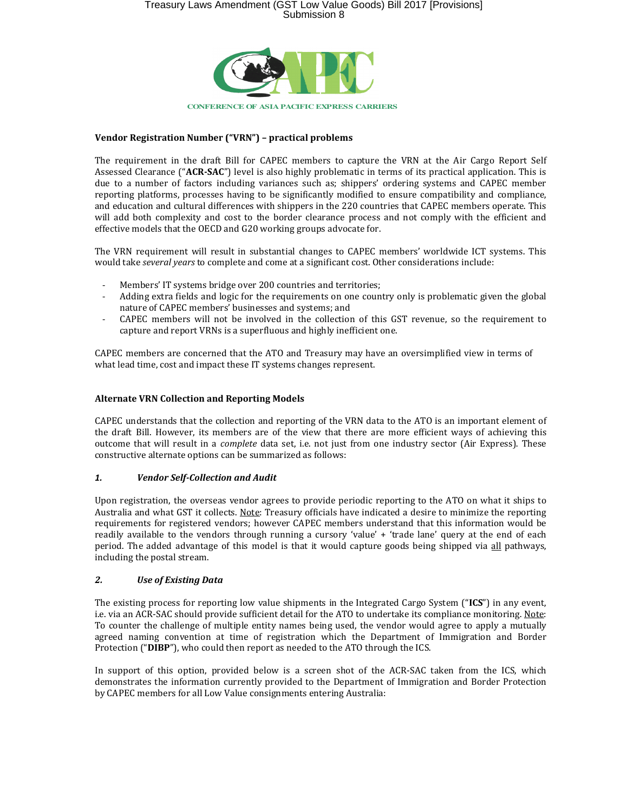

## Vendor Registration Number ("VRN") – practical problems

The requirement in the draft Bill for CAPEC members to capture the VRN at the Air Cargo Report Self Assessed Clearance ("ACR-SAC") level is also highly problematic in terms of its practical application. This is due to a number of factors including variances such as; shippers' ordering systems and CAPEC member reporting platforms, processes having to be significantly modified to ensure compatibility and compliance, and education and cultural differences with shippers in the 220 countries that CAPEC members operate. This will add both complexity and cost to the border clearance process and not comply with the efficient and effective models that the OECD and G20 working groups advocate for.

The VRN requirement will result in substantial changes to CAPEC members' worldwide ICT systems. This would take several years to complete and come at a significant cost. Other considerations include:

- Members' IT systems bridge over 200 countries and territories;
- Adding extra fields and logic for the requirements on one country only is problematic given the global nature of CAPEC members' businesses and systems; and
- CAPEC members will not be involved in the collection of this GST revenue, so the requirement to capture and report VRNs is a superfluous and highly inefficient one.

CAPEC members are concerned that the ATO and Treasury may have an oversimplified view in terms of what lead time, cost and impact these IT systems changes represent.

### Alternate VRN Collection and Reporting Models

CAPEC understands that the collection and reporting of the VRN data to the ATO is an important element of the draft Bill. However, its members are of the view that there are more efficient ways of achieving this outcome that will result in a complete data set, i.e. not just from one industry sector (Air Express). These constructive alternate options can be summarized as follows:

## 1. Vendor Self-Collection and Audit

Upon registration, the overseas vendor agrees to provide periodic reporting to the ATO on what it ships to Australia and what GST it collects. Note: Treasury officials have indicated a desire to minimize the reporting requirements for registered vendors; however CAPEC members understand that this information would be readily available to the vendors through running a cursory 'value' + 'trade lane' query at the end of each period. The added advantage of this model is that it would capture goods being shipped via all pathways, including the postal stream.

## 2. Use of Existing Data

The existing process for reporting low value shipments in the Integrated Cargo System ("ICS") in any event, i.e. via an ACR-SAC should provide sufficient detail for the ATO to undertake its compliance monitoring. Note: To counter the challenge of multiple entity names being used, the vendor would agree to apply a mutually agreed naming convention at time of registration which the Department of Immigration and Border Protection ("DIBP"), who could then report as needed to the ATO through the ICS.

In support of this option, provided below is a screen shot of the ACR-SAC taken from the ICS, which demonstrates the information currently provided to the Department of Immigration and Border Protection by CAPEC members for all Low Value consignments entering Australia: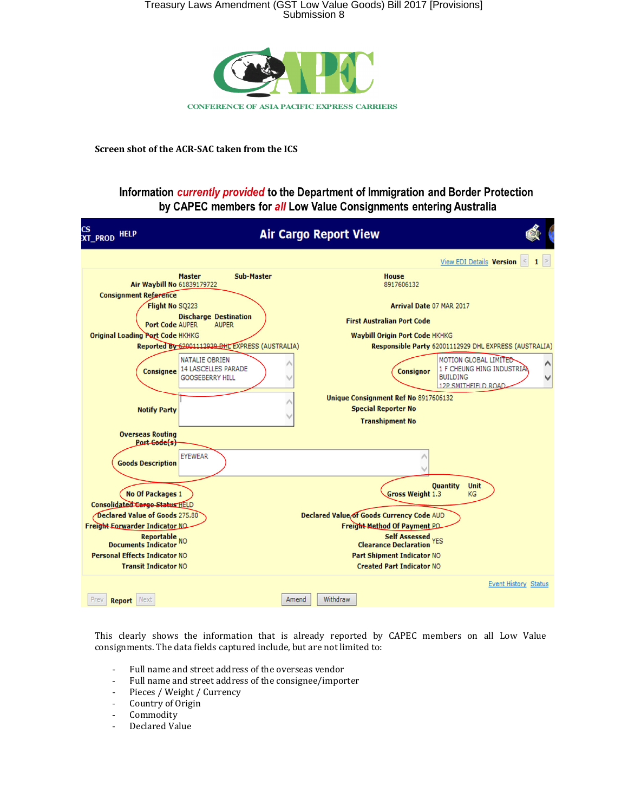

Screen shot of the ACR-SAC taken from the ICS

## Information currently provided to the Department of Immigration and Border Protection by CAPEC members for all Low Value Consignments entering Australia

| CS<br>XT_PROD HELP                                                                         |                                                                               | <b>Air Cargo Report View</b>                                                                   |                                                                                                                     |
|--------------------------------------------------------------------------------------------|-------------------------------------------------------------------------------|------------------------------------------------------------------------------------------------|---------------------------------------------------------------------------------------------------------------------|
|                                                                                            |                                                                               |                                                                                                | <b>View EDI Details Version</b>                                                                                     |
| Air Waybill No 61839179722                                                                 | <b>Sub-Master</b><br><b>Master</b>                                            | <b>House</b><br>8917606132                                                                     |                                                                                                                     |
| <b>Consignment Reference</b>                                                               |                                                                               |                                                                                                |                                                                                                                     |
| Flight No SQ223<br><b>Discharge Destination</b>                                            |                                                                               | Arrival Date 07 MAR 2017                                                                       |                                                                                                                     |
| <b>Port Code AUPER</b>                                                                     | <b>AUPER</b>                                                                  | <b>First Australian Port Code</b>                                                              |                                                                                                                     |
| <b>Original Loading Port Code HKHKG</b><br>Reported By 62001112929 DHL EXPRESS (AUSTRALIA) |                                                                               | <b>Waybill Origin Port Code HKHKG</b><br>Responsible Party 62001112929 DHL EXPRESS (AUSTRALIA) |                                                                                                                     |
|                                                                                            |                                                                               |                                                                                                |                                                                                                                     |
| <b>Consignee</b>                                                                           | <b>NATALIE OBRIEN</b><br><b>14 LASCELLES PARADE</b><br><b>GOOSEBERRY HILL</b> | <b>Consignor</b>                                                                               | MOTION GLOBAL LIMITED<br>Λ<br>1 F CHEUNG HING INDUSTRIAL<br><b>BUILDING</b><br>$\checkmark$<br>12P SMITHFIFI D ROAD |
| <b>Notify Party</b>                                                                        |                                                                               | Unique Consignment Ref No 8917606132<br><b>Special Reporter No</b><br><b>Transhipment No</b>   |                                                                                                                     |
| <b>Overseas Routing</b><br>Port Code(s)                                                    |                                                                               |                                                                                                |                                                                                                                     |
| <b>Goods Description</b>                                                                   | <b>EYEWEAR</b>                                                                |                                                                                                |                                                                                                                     |
| <b>Quantity</b><br><b>Unit</b>                                                             |                                                                               |                                                                                                |                                                                                                                     |
| <b>Gross Weight 1.3</b><br>No Of Packages 1<br><b>KG</b><br>Consolidated Cargo Status HELD |                                                                               |                                                                                                |                                                                                                                     |
| Declared Value of Goods 275.80<br><b>Declared Value of Goods Currency Code AUD</b>         |                                                                               |                                                                                                |                                                                                                                     |
| Freight-Eorwarder Indicator NO<br>Freight-Method Of Payment PO                             |                                                                               |                                                                                                |                                                                                                                     |
| Reportable<br>Documents Indicator NO                                                       |                                                                               | Self Assessed<br>Clearance Declaration YES                                                     |                                                                                                                     |
| <b>Personal Effects Indicator NO</b>                                                       |                                                                               | <b>Part Shipment Indicator NO</b>                                                              |                                                                                                                     |
| <b>Transit Indicator NO</b>                                                                |                                                                               | <b>Created Part Indicator NO</b>                                                               |                                                                                                                     |
|                                                                                            |                                                                               |                                                                                                | <b>Event History Status</b>                                                                                         |
| Prev<br><b>Report</b> Next                                                                 |                                                                               | Withdraw<br>Amend                                                                              |                                                                                                                     |

This clearly shows the information that is already reported by CAPEC members on all Low Value consignments. The data fields captured include, but are not limited to:

- Full name and street address of the overseas vendor
- Full name and street address of the consignee/importer
- Pieces / Weight / Currency
- Country of Origin
- Commodity
- Declared Value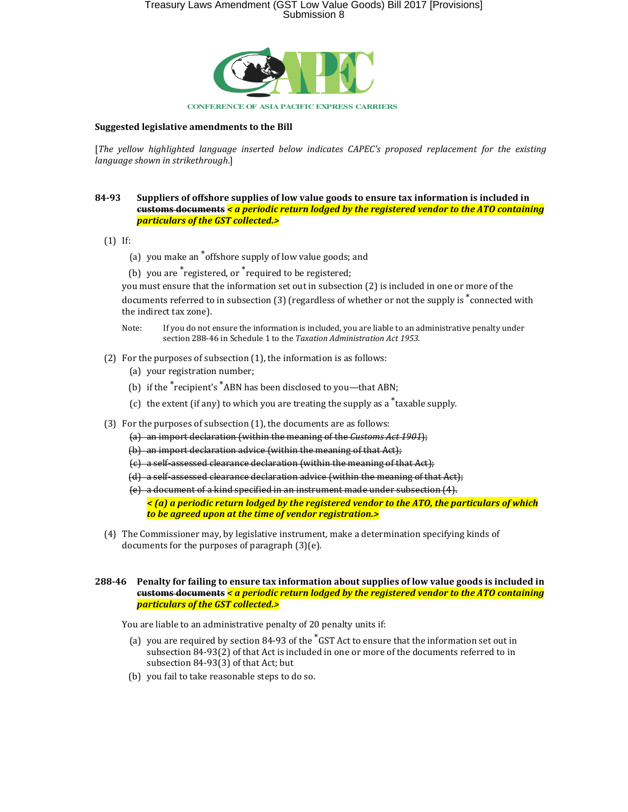

#### Suggested legislative amendments to the Bill

[The yellow highlighted language inserted below indicates CAPEC's proposed replacement for the existing language shown in strikethrough.]

#### 84-93 Suppliers of offshore supplies of low value goods to ensure tax information is included in  $c$ ustoms documents  $\le a$  periodic return lodged by the registered vendor to the ATO containing particulars of the GST collected.>

- (1) If:
	- (a) you make an \*offshore supply of low value goods; and
	- (b) you are \*registered, or \*required to be registered;

you must ensure that the information set out in subsection (2) is included in one or more of the documents referred to in subsection (3) (regardless of whether or not the supply is \*connected with the indirect tax zone).

- Note: If you do not ensure the information is included, you are liable to an administrative penalty under section 288-46 in Schedule 1 to the Taxation Administration Act 1953.
- (2) For the purposes of subsection (1), the information is as follows:
	- (a) your registration number;
	- (b) if the \*recipient's \*ABN has been disclosed to you—that ABN;
	- (c) the extent (if any) to which you are treating the supply as a  $*$ taxable supply.
- (3) For the purposes of subsection (1), the documents are as follows:
	- (a) an import declaration (within the meaning of the Customs Act 1901);
	- (b) an import declaration advice (within the meaning of that Act);
	- (c) a self-assessed clearance declaration (within the meaning of that Act);
	- (d) a self-assessed clearance declaration advice (within the meaning of that Act);
	- (e) a document of a kind specified in an instrument made under subsection (4).

 $\leq$  (a) a periodic return lodged by the registered vendor to the ATO, the particulars of which to be agreed upon at the time of vendor registration.>

 (4) The Commissioner may, by legislative instrument, make a determination specifying kinds of documents for the purposes of paragraph (3)(e).

#### 288-46 Penalty for failing to ensure tax information about supplies of low value goods is included in  $c$ ustoms documents  $\le a$  periodic return lodged by the registered vendor to the ATO containing particulars of the GST collected.>

You are liable to an administrative penalty of 20 penalty units if:

- (a) you are required by section 84-93 of the  $*$ GST Act to ensure that the information set out in subsection 84-93(2) of that Act is included in one or more of the documents referred to in subsection 84-93(3) of that Act; but
- (b) you fail to take reasonable steps to do so.